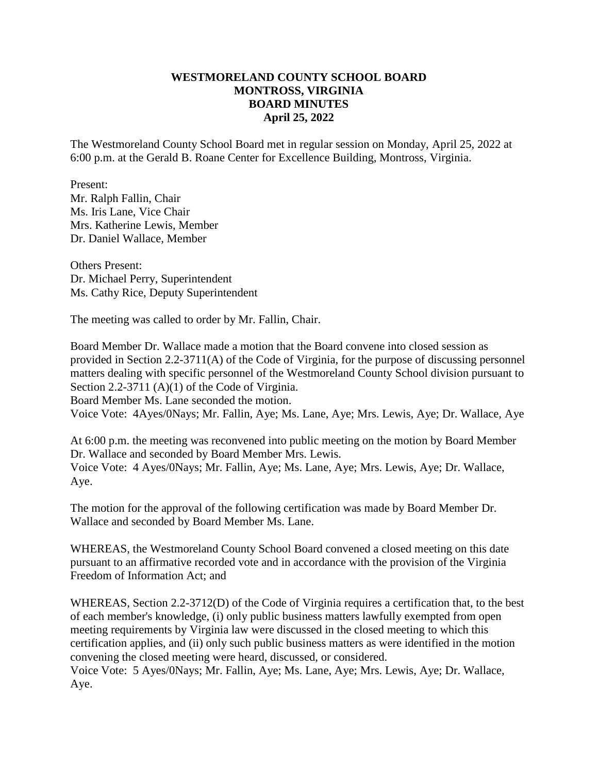### **WESTMORELAND COUNTY SCHOOL BOARD MONTROSS, VIRGINIA BOARD MINUTES April 25, 2022**

The Westmoreland County School Board met in regular session on Monday, April 25, 2022 at 6:00 p.m. at the Gerald B. Roane Center for Excellence Building, Montross, Virginia.

Present: Mr. Ralph Fallin, Chair Ms. Iris Lane, Vice Chair Mrs. Katherine Lewis, Member Dr. Daniel Wallace, Member

Others Present: Dr. Michael Perry, Superintendent Ms. Cathy Rice, Deputy Superintendent

The meeting was called to order by Mr. Fallin, Chair.

Board Member Dr. Wallace made a motion that the Board convene into closed session as provided in Section 2.2-3711(A) of the Code of Virginia, for the purpose of discussing personnel matters dealing with specific personnel of the Westmoreland County School division pursuant to Section 2.2-3711 (A)(1) of the Code of Virginia. Board Member Ms. Lane seconded the motion. Voice Vote: 4Ayes/0Nays; Mr. Fallin, Aye; Ms. Lane, Aye; Mrs. Lewis, Aye; Dr. Wallace, Aye

At 6:00 p.m. the meeting was reconvened into public meeting on the motion by Board Member Dr. Wallace and seconded by Board Member Mrs. Lewis. Voice Vote: 4 Ayes/0Nays; Mr. Fallin, Aye; Ms. Lane, Aye; Mrs. Lewis, Aye; Dr. Wallace, Aye.

The motion for the approval of the following certification was made by Board Member Dr. Wallace and seconded by Board Member Ms. Lane.

WHEREAS, the Westmoreland County School Board convened a closed meeting on this date pursuant to an affirmative recorded vote and in accordance with the provision of the Virginia Freedom of Information Act; and

WHEREAS, Section 2.2-3712(D) of the Code of Virginia requires a certification that, to the best of each member's knowledge, (i) only public business matters lawfully exempted from open meeting requirements by Virginia law were discussed in the closed meeting to which this certification applies, and (ii) only such public business matters as were identified in the motion convening the closed meeting were heard, discussed, or considered. Voice Vote: 5 Ayes/0Nays; Mr. Fallin, Aye; Ms. Lane, Aye; Mrs. Lewis, Aye; Dr. Wallace, Aye.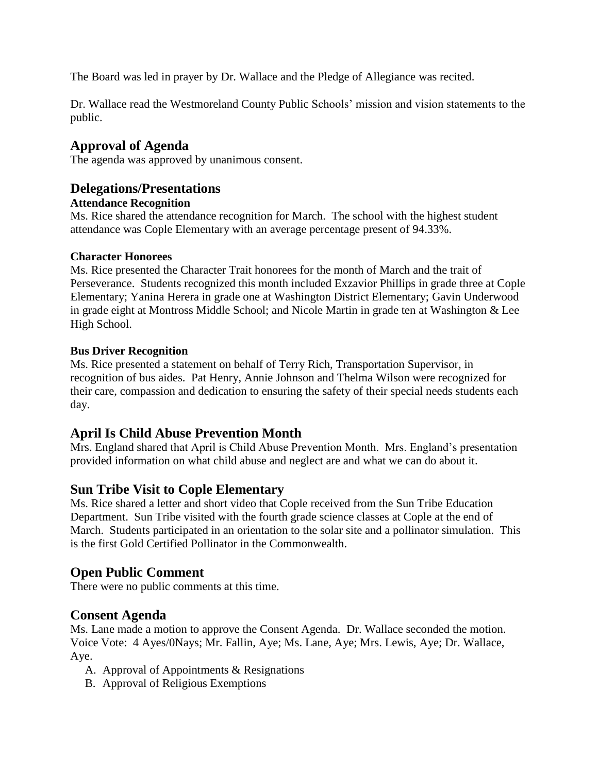The Board was led in prayer by Dr. Wallace and the Pledge of Allegiance was recited.

Dr. Wallace read the Westmoreland County Public Schools' mission and vision statements to the public.

## **Approval of Agenda**

The agenda was approved by unanimous consent.

## **Delegations/Presentations**

#### **Attendance Recognition**

Ms. Rice shared the attendance recognition for March. The school with the highest student attendance was Cople Elementary with an average percentage present of 94.33%.

#### **Character Honorees**

Ms. Rice presented the Character Trait honorees for the month of March and the trait of Perseverance. Students recognized this month included Exzavior Phillips in grade three at Cople Elementary; Yanina Herera in grade one at Washington District Elementary; Gavin Underwood in grade eight at Montross Middle School; and Nicole Martin in grade ten at Washington & Lee High School.

#### **Bus Driver Recognition**

Ms. Rice presented a statement on behalf of Terry Rich, Transportation Supervisor, in recognition of bus aides. Pat Henry, Annie Johnson and Thelma Wilson were recognized for their care, compassion and dedication to ensuring the safety of their special needs students each day.

## **April Is Child Abuse Prevention Month**

Mrs. England shared that April is Child Abuse Prevention Month. Mrs. England's presentation provided information on what child abuse and neglect are and what we can do about it.

## **Sun Tribe Visit to Cople Elementary**

Ms. Rice shared a letter and short video that Cople received from the Sun Tribe Education Department. Sun Tribe visited with the fourth grade science classes at Cople at the end of March. Students participated in an orientation to the solar site and a pollinator simulation. This is the first Gold Certified Pollinator in the Commonwealth.

## **Open Public Comment**

There were no public comments at this time.

## **Consent Agenda**

Ms. Lane made a motion to approve the Consent Agenda. Dr. Wallace seconded the motion. Voice Vote: 4 Ayes/0Nays; Mr. Fallin, Aye; Ms. Lane, Aye; Mrs. Lewis, Aye; Dr. Wallace, Aye.

- A. Approval of Appointments & Resignations
- B. Approval of Religious Exemptions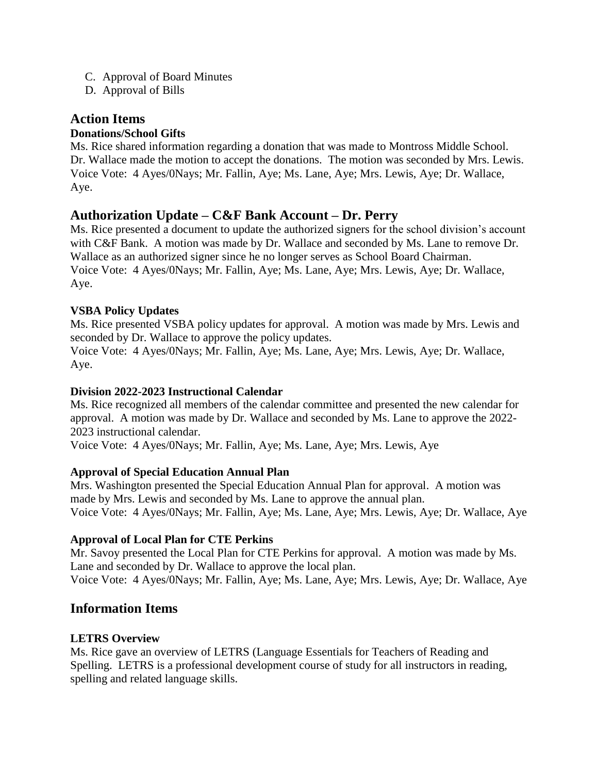- C. Approval of Board Minutes
- D. Approval of Bills

# **Action Items**

### **Donations/School Gifts**

Ms. Rice shared information regarding a donation that was made to Montross Middle School. Dr. Wallace made the motion to accept the donations. The motion was seconded by Mrs. Lewis. Voice Vote: 4 Ayes/0Nays; Mr. Fallin, Aye; Ms. Lane, Aye; Mrs. Lewis, Aye; Dr. Wallace, Aye.

# **Authorization Update – C&F Bank Account – Dr. Perry**

Ms. Rice presented a document to update the authorized signers for the school division's account with C&F Bank. A motion was made by Dr. Wallace and seconded by Ms. Lane to remove Dr. Wallace as an authorized signer since he no longer serves as School Board Chairman. Voice Vote: 4 Ayes/0Nays; Mr. Fallin, Aye; Ms. Lane, Aye; Mrs. Lewis, Aye; Dr. Wallace, Aye.

### **VSBA Policy Updates**

Ms. Rice presented VSBA policy updates for approval. A motion was made by Mrs. Lewis and seconded by Dr. Wallace to approve the policy updates.

Voice Vote: 4 Ayes/0Nays; Mr. Fallin, Aye; Ms. Lane, Aye; Mrs. Lewis, Aye; Dr. Wallace, Aye.

#### **Division 2022-2023 Instructional Calendar**

Ms. Rice recognized all members of the calendar committee and presented the new calendar for approval. A motion was made by Dr. Wallace and seconded by Ms. Lane to approve the 2022- 2023 instructional calendar.

Voice Vote: 4 Ayes/0Nays; Mr. Fallin, Aye; Ms. Lane, Aye; Mrs. Lewis, Aye

### **Approval of Special Education Annual Plan**

Mrs. Washington presented the Special Education Annual Plan for approval. A motion was made by Mrs. Lewis and seconded by Ms. Lane to approve the annual plan. Voice Vote: 4 Ayes/0Nays; Mr. Fallin, Aye; Ms. Lane, Aye; Mrs. Lewis, Aye; Dr. Wallace, Aye

### **Approval of Local Plan for CTE Perkins**

Mr. Savoy presented the Local Plan for CTE Perkins for approval. A motion was made by Ms. Lane and seconded by Dr. Wallace to approve the local plan. Voice Vote: 4 Ayes/0Nays; Mr. Fallin, Aye; Ms. Lane, Aye; Mrs. Lewis, Aye; Dr. Wallace, Aye

## **Information Items**

### **LETRS Overview**

Ms. Rice gave an overview of LETRS (Language Essentials for Teachers of Reading and Spelling. LETRS is a professional development course of study for all instructors in reading, spelling and related language skills.